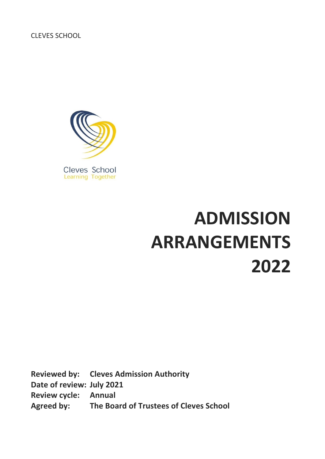CLEVES SCHOOL



# **ADMISSION ARRANGEMENTS 2022**

**Reviewed by: Cleves Admission Authority Date of review: July 2021 Review cycle: Annual Agreed by: The Board of Trustees of Cleves School**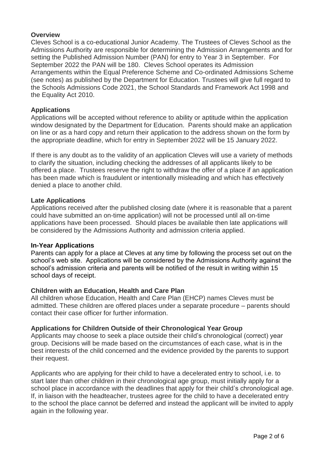## **Overview**

Cleves School is a co-educational Junior Academy. The Trustees of Cleves School as the Admissions Authority are responsible for determining the Admission Arrangements and for setting the Published Admission Number (PAN) for entry to Year 3 in September. For September 2022 the PAN will be 180. Cleves School operates its Admission Arrangements within the Equal Preference Scheme and Co-ordinated Admissions Scheme (see notes) as published by the Department for Education. Trustees will give full regard to the Schools Admissions Code 2021, the School Standards and Framework Act 1998 and the Equality Act 2010.

#### **Applications**

Applications will be accepted without reference to ability or aptitude within the application window designated by the Department for Education. Parents should make an application on line or as a hard copy and return their application to the address shown on the form by the appropriate deadline, which for entry in September 2022 will be 15 January 2022.

If there is any doubt as to the validity of an application Cleves will use a variety of methods to clarify the situation, including checking the addresses of all applicants likely to be offered a place. Trustees reserve the right to withdraw the offer of a place if an application has been made which is fraudulent or intentionally misleading and which has effectively denied a place to another child.

#### **Late Applications**

Applications received after the published closing date (where it is reasonable that a parent could have submitted an on-time application) will not be processed until all on-time applications have been processed. Should places be available then late applications will be considered by the Admissions Authority and admission criteria applied.

#### **In-Year Applications**

Parents can apply for a place at Cleves at any time by following the process set out on the school's web site. Applications will be considered by the Admissions Authority against the school's admission criteria and parents will be notified of the result in writing within 15 school days of receipt.

#### **Children with an Education, Health and Care Plan**

All children whose Education, Health and Care Plan (EHCP) names Cleves must be admitted. These children are offered places under a separate procedure – parents should contact their case officer for further information.

#### **Applications for Children Outside of their Chronological Year Group**

Applicants may choose to seek a place outside their child's chronological (correct) year group. Decisions will be made based on the circumstances of each case, what is in the best interests of the child concerned and the evidence provided by the parents to support their request.

Applicants who are applying for their child to have a decelerated entry to school, i.e. to start later than other children in their chronological age group, must initially apply for a school place in accordance with the deadlines that apply for their child's chronological age. If, in liaison with the headteacher, trustees agree for the child to have a decelerated entry to the school the place cannot be deferred and instead the applicant will be invited to apply again in the following year.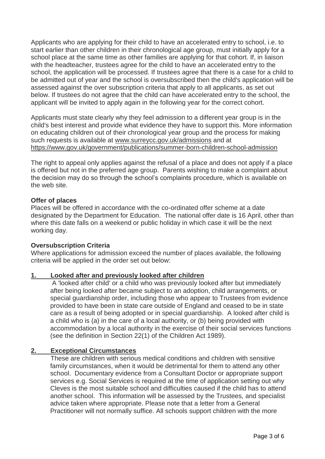Applicants who are applying for their child to have an accelerated entry to school, i.e. to start earlier than other children in their chronological age group, must initially apply for a school place at the same time as other families are applying for that cohort. If, in liaison with the headteacher, trustees agree for the child to have an accelerated entry to the school, the application will be processed. If trustees agree that there is a case for a child to be admitted out of year and the school is oversubscribed then the child's application will be assessed against the over subscription criteria that apply to all applicants, as set out below. If trustees do not agree that the child can have accelerated entry to the school, the applicant will be invited to apply again in the following year for the correct cohort.

Applicants must state clearly why they feel admission to a different year group is in the child's best interest and provide what evidence they have to support this. More information on educating children out of their chronological year group and the process for making such requests is available at [www.surreycc.gov.uk/admissions](http://www.surreycc.gov.uk/admissions) and at <https://www.gov.uk/government/publications/summer-born-children-school-admission>

The right to appeal only applies against the refusal of a place and does not apply if a place is offered but not in the preferred age group. Parents wishing to make a complaint about the decision may do so through the school's complaints procedure, which is available on the web site.

## **Offer of places**

Places will be offered in accordance with the co-ordinated offer scheme at a date designated by the Department for Education. The national offer date is 16 April, other than where this date falls on a weekend or public holiday in which case it will be the next working day.

#### **Oversubscription Criteria**

Where applications for admission exceed the number of places available, the following criteria will be applied in the order set out below:

## **1. Looked after and previously looked after children**

A 'looked after child' or a child who was previously looked after but immediately after being looked after became subject to an adoption, child arrangements, or special guardianship order, including those who appear to Trustees from evidence provided to have been in state care outside of England and ceased to be in state care as a result of being adopted or in special guardianship. A looked after child is a child who is (a) in the care of a local authority, or (b) being provided with accommodation by a local authority in the exercise of their social services functions (see the definition in Section 22(1) of the Children Act 1989).

## **2. Exceptional Circumstances**

These are children with serious medical conditions and children with sensitive family circumstances, when it would be detrimental for them to attend any other school. Documentary evidence from a Consultant Doctor or appropriate support services e.g. Social Services is required at the time of application setting out why Cleves is the most suitable school and difficulties caused if the child has to attend another school. This information will be assessed by the Trustees, and specialist advice taken where appropriate. Please note that a letter from a General Practitioner will not normally suffice. All schools support children with the more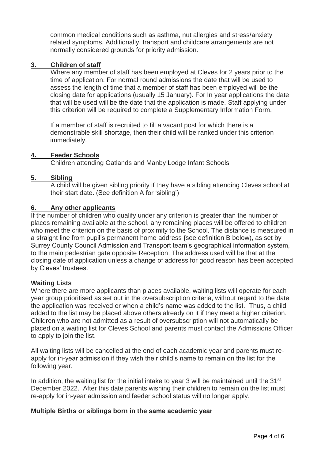common medical conditions such as asthma, nut allergies and stress/anxiety related symptoms. Additionally, transport and childcare arrangements are not normally considered grounds for priority admission.

## **3. Children of staff**

Where any member of staff has been employed at Cleves for 2 years prior to the time of application. For normal round admissions the date that will be used to assess the length of time that a member of staff has been employed will be the closing date for applications (usually 15 January). For In year applications the date that will be used will be the date that the application is made. Staff applying under this criterion will be required to complete a Supplementary Information Form.

If a member of staff is recruited to fill a vacant post for which there is a demonstrable skill shortage, then their child will be ranked under this criterion immediately.

## **4. Feeder Schools**

Children attending Oatlands and Manby Lodge Infant Schools

#### **5. Sibling**

A child will be given sibling priority if they have a sibling attending Cleves school at their start date. (See definition A for 'sibling')

#### **6. Any other applicants**

If the number of children who qualify under any criterion is greater than the number of places remaining available at the school, any remaining places will be offered to children who meet the criterion on the basis of proximity to the School. The distance is measured in a straight line from pupil's permanent home address **(**see definition B below), as set by Surrey County Council Admission and Transport team's geographical information system, to the main pedestrian gate opposite Reception. The address used will be that at the closing date of application unless a change of address for good reason has been accepted by Cleves' trustees.

## **Waiting Lists**

Where there are more applicants than places available, waiting lists will operate for each year group prioritised as set out in the oversubscription criteria, without regard to the date the application was received or when a child's name was added to the list. Thus, a child added to the list may be placed above others already on it if they meet a higher criterion. Children who are not admitted as a result of oversubscription will not automatically be placed on a waiting list for Cleves School and parents must contact the Admissions Officer to apply to join the list.

All waiting lists will be cancelled at the end of each academic year and parents must reapply for in-year admission if they wish their child's name to remain on the list for the following year.

In addition, the waiting list for the initial intake to year 3 will be maintained until the 31<sup>st</sup> December 2022. After this date parents wishing their children to remain on the list must re-apply for in-year admission and feeder school status will no longer apply.

#### **Multiple Births or siblings born in the same academic year**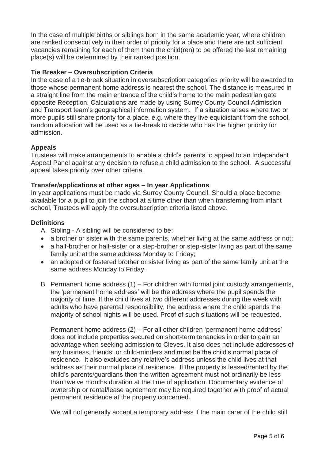In the case of multiple births or siblings born in the same academic year, where children are ranked consecutively in their order of priority for a place and there are not sufficient vacancies remaining for each of them then the child(ren) to be offered the last remaining place(s) will be determined by their ranked position.

# **Tie Breaker – Oversubscription Criteria**

In the case of a tie-break situation in oversubscription categories priority will be awarded to those whose permanent home address is nearest the school. The distance is measured in a straight line from the main entrance of the child's home to the main pedestrian gate opposite Reception. Calculations are made by using Surrey County Council Admission and Transport team's geographical information system. If a situation arises where two or more pupils still share priority for a place, e.g. where they live equidistant from the school, random allocation will be used as a tie-break to decide who has the higher priority for admission.

# **Appeals**

Trustees will make arrangements to enable a child's parents to appeal to an Independent Appeal Panel against any decision to refuse a child admission to the school. A successful appeal takes priority over other criteria.

# **Transfer/applications at other ages – In year Applications**

In year applications must be made via Surrey County Council. Should a place become available for a pupil to join the school at a time other than when transferring from infant school, Trustees will apply the oversubscription criteria listed above.

## **Definitions**

A. Sibling - A sibling will be considered to be:

- a brother or sister with the same parents, whether living at the same address or not;
- a half-brother or half-sister or a step-brother or step-sister living as part of the same family unit at the same address Monday to Friday;
- an adopted or fostered brother or sister living as part of the same family unit at the same address Monday to Friday.
- B. Permanent home address (1) For children with formal joint custody arrangements, the 'permanent home address' will be the address where the pupil spends the majority of time. If the child lives at two different addresses during the week with adults who have parental responsibility, the address where the child spends the majority of school nights will be used. Proof of such situations will be requested.

Permanent home address (2) – For all other children 'permanent home address' does not include properties secured on short-term tenancies in order to gain an advantage when seeking admission to Cleves. It also does not include addresses of any business, friends, or child-minders and must be the child's normal place of residence. It also excludes any relative's address unless the child lives at that address as their normal place of residence. If the property is leased/rented by the child's parents/guardians then the written agreement must not ordinarily be less than twelve months duration at the time of application. Documentary evidence of ownership or rental/lease agreement may be required together with proof of actual permanent residence at the property concerned.

We will not generally accept a temporary address if the main carer of the child still